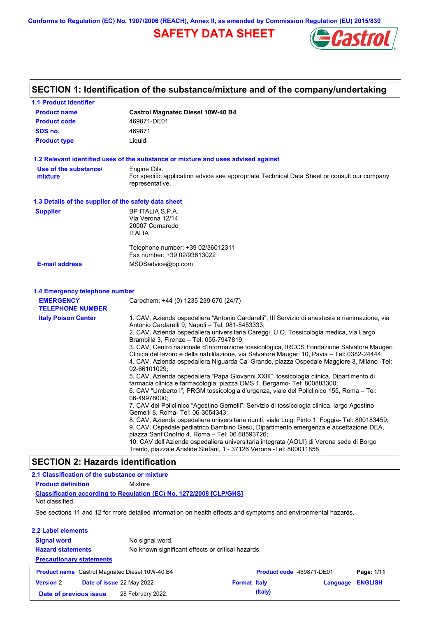**Conforms to Regulation (EC) No. 1907/2006 (REACH), Annex II, as amended by Commission Regulation (EU) 2015/830**

## **SAFETY DATA SHEET**



## **SECTION 1: Identification of the substance/mixture and of the company/undertaking**

| <b>1.1 Product identifier</b>                        |                                                                                                                                                                                                                                                                                                                                                                                                                                                                                                                                                                                                                                                                                                                                                                                                                                                                                                                                                                                                                                                                                                                                                                                                                                                                                                                                                                                                                                              |  |  |  |  |  |  |
|------------------------------------------------------|----------------------------------------------------------------------------------------------------------------------------------------------------------------------------------------------------------------------------------------------------------------------------------------------------------------------------------------------------------------------------------------------------------------------------------------------------------------------------------------------------------------------------------------------------------------------------------------------------------------------------------------------------------------------------------------------------------------------------------------------------------------------------------------------------------------------------------------------------------------------------------------------------------------------------------------------------------------------------------------------------------------------------------------------------------------------------------------------------------------------------------------------------------------------------------------------------------------------------------------------------------------------------------------------------------------------------------------------------------------------------------------------------------------------------------------------|--|--|--|--|--|--|
| <b>Product name</b>                                  | <b>Castrol Magnatec Diesel 10W-40 B4</b>                                                                                                                                                                                                                                                                                                                                                                                                                                                                                                                                                                                                                                                                                                                                                                                                                                                                                                                                                                                                                                                                                                                                                                                                                                                                                                                                                                                                     |  |  |  |  |  |  |
| <b>Product code</b>                                  | 469871-DE01                                                                                                                                                                                                                                                                                                                                                                                                                                                                                                                                                                                                                                                                                                                                                                                                                                                                                                                                                                                                                                                                                                                                                                                                                                                                                                                                                                                                                                  |  |  |  |  |  |  |
| SDS no.                                              | 469871                                                                                                                                                                                                                                                                                                                                                                                                                                                                                                                                                                                                                                                                                                                                                                                                                                                                                                                                                                                                                                                                                                                                                                                                                                                                                                                                                                                                                                       |  |  |  |  |  |  |
| <b>Product type</b>                                  | Liquid.                                                                                                                                                                                                                                                                                                                                                                                                                                                                                                                                                                                                                                                                                                                                                                                                                                                                                                                                                                                                                                                                                                                                                                                                                                                                                                                                                                                                                                      |  |  |  |  |  |  |
|                                                      | 1.2 Relevant identified uses of the substance or mixture and uses advised against                                                                                                                                                                                                                                                                                                                                                                                                                                                                                                                                                                                                                                                                                                                                                                                                                                                                                                                                                                                                                                                                                                                                                                                                                                                                                                                                                            |  |  |  |  |  |  |
| Use of the substance/<br>mixture                     | Engine Oils.<br>For specific application advice see appropriate Technical Data Sheet or consult our company<br>representative.                                                                                                                                                                                                                                                                                                                                                                                                                                                                                                                                                                                                                                                                                                                                                                                                                                                                                                                                                                                                                                                                                                                                                                                                                                                                                                               |  |  |  |  |  |  |
| 1.3 Details of the supplier of the safety data sheet |                                                                                                                                                                                                                                                                                                                                                                                                                                                                                                                                                                                                                                                                                                                                                                                                                                                                                                                                                                                                                                                                                                                                                                                                                                                                                                                                                                                                                                              |  |  |  |  |  |  |
| <b>Supplier</b>                                      | BP ITALIA S.P.A.<br>Via Verona 12/14<br>20007 Cornaredo<br><b>ITALIA</b>                                                                                                                                                                                                                                                                                                                                                                                                                                                                                                                                                                                                                                                                                                                                                                                                                                                                                                                                                                                                                                                                                                                                                                                                                                                                                                                                                                     |  |  |  |  |  |  |
|                                                      | Telephone number: +39 02/36012311<br>Fax number: +39 02/93613022                                                                                                                                                                                                                                                                                                                                                                                                                                                                                                                                                                                                                                                                                                                                                                                                                                                                                                                                                                                                                                                                                                                                                                                                                                                                                                                                                                             |  |  |  |  |  |  |
| <b>E-mail address</b>                                | MSDSadvice@bp.com                                                                                                                                                                                                                                                                                                                                                                                                                                                                                                                                                                                                                                                                                                                                                                                                                                                                                                                                                                                                                                                                                                                                                                                                                                                                                                                                                                                                                            |  |  |  |  |  |  |
| 1.4 Emergency telephone number                       |                                                                                                                                                                                                                                                                                                                                                                                                                                                                                                                                                                                                                                                                                                                                                                                                                                                                                                                                                                                                                                                                                                                                                                                                                                                                                                                                                                                                                                              |  |  |  |  |  |  |
| <b>EMERGENCY</b><br><b>TELEPHONE NUMBER</b>          | Carechem: +44 (0) 1235 239 670 (24/7)                                                                                                                                                                                                                                                                                                                                                                                                                                                                                                                                                                                                                                                                                                                                                                                                                                                                                                                                                                                                                                                                                                                                                                                                                                                                                                                                                                                                        |  |  |  |  |  |  |
| <b>Italy Poison Center</b>                           | 1. CAV, Azienda ospedaliera "Antonio Cardarelli", III Servizio di anestesia e rianimazione, via<br>Antonio Cardarelli 9, Napoli - Tel: 081-5453333;<br>2. CAV, Azienda ospedaliera universitaria Careggi, U.O. Tossicologia medica, via Largo<br>Brambilla 3, Firenze - Tel: 055-7947819;<br>3. CAV, Centro nazionale d'informazione tossicologica, IRCCS Fondazione Salvatore Maugeri<br>Clinica del lavoro e della riabilitazione, via Salvatore Maugeri 10, Pavia – Tel: 0382-24444;<br>4. CAV, Azienda ospedaliera Niguarda Ca' Grande, piazza Ospedale Maggiore 3, Milano -Tel:<br>02-66101029:<br>5. CAV, Azienda ospedaliera "Papa Giovanni XXIII", tossicologia clinica, Dipartimento di<br>farmacia clinica e farmacologia, piazza OMS 1, Bergamo- Tel: 800883300;<br>6. CAV "Umberto I", PRGM tossicologia d'urgenza, viale del Policlinico 155, Roma – Tel:<br>06-49978000;<br>7. CAV del Policlinico "Agostino Gemelli", Servizio di tossicologia clinica, largo Agostino<br>Gemelli 8, Roma- Tel: 06-3054343;<br>8. CAV, Azienda ospedaliera universitaria riuniti, viale Luigi Pinto 1, Foggia- Tel: 800183459;<br>9. CAV, Ospedale pediatrico Bambino Gesù, Dipartimento emergenza e accettazione DEA,<br>piazza Sant'Onofrio 4, Roma - Tel: 06 68593726;<br>10. CAV dell'Azienda ospedaliera universitaria integrata (AOUI) di Verona sede di Borgo<br>Trento, piazzale Aristide Stefani, 1 - 37126 Verona - Tel: 800011858. |  |  |  |  |  |  |
| <b>SECTION 2: Hazards identification</b>             |                                                                                                                                                                                                                                                                                                                                                                                                                                                                                                                                                                                                                                                                                                                                                                                                                                                                                                                                                                                                                                                                                                                                                                                                                                                                                                                                                                                                                                              |  |  |  |  |  |  |
| 2.1 Classification of the substance or mixture       |                                                                                                                                                                                                                                                                                                                                                                                                                                                                                                                                                                                                                                                                                                                                                                                                                                                                                                                                                                                                                                                                                                                                                                                                                                                                                                                                                                                                                                              |  |  |  |  |  |  |

| <b>Product definition</b>       | Mixture         |                                                                                                         |                                                                            |                                                                          |                                                                                                                                                   |
|---------------------------------|-----------------|---------------------------------------------------------------------------------------------------------|----------------------------------------------------------------------------|--------------------------------------------------------------------------|---------------------------------------------------------------------------------------------------------------------------------------------------|
|                                 |                 |                                                                                                         |                                                                            |                                                                          |                                                                                                                                                   |
|                                 |                 |                                                                                                         |                                                                            |                                                                          |                                                                                                                                                   |
| 2.2 Label elements              |                 |                                                                                                         |                                                                            |                                                                          |                                                                                                                                                   |
|                                 | No signal word. |                                                                                                         |                                                                            |                                                                          |                                                                                                                                                   |
| <b>Hazard statements</b>        |                 |                                                                                                         |                                                                            |                                                                          |                                                                                                                                                   |
| <b>Precautionary statements</b> |                 |                                                                                                         |                                                                            |                                                                          |                                                                                                                                                   |
|                                 |                 |                                                                                                         |                                                                            |                                                                          | Page: 1/11                                                                                                                                        |
|                                 |                 |                                                                                                         |                                                                            | Language                                                                 | <b>ENGLISH</b>                                                                                                                                    |
| Date of previous issue          |                 |                                                                                                         | (Italy)                                                                    |                                                                          |                                                                                                                                                   |
|                                 |                 | <b>Product name</b> Castrol Magnatec Diesel 10W-40 B4<br>Date of issue 22 May 2022<br>28 February 2022. | <b>Classification according to Regulation (EC) No. 1272/2008 [CLP/GHS]</b> | No known significant effects or critical hazards.<br><b>Format Italy</b> | See sections 11 and 12 for more detailed information on health effects and symptoms and environmental hazards.<br><b>Product code</b> 469871-DE01 |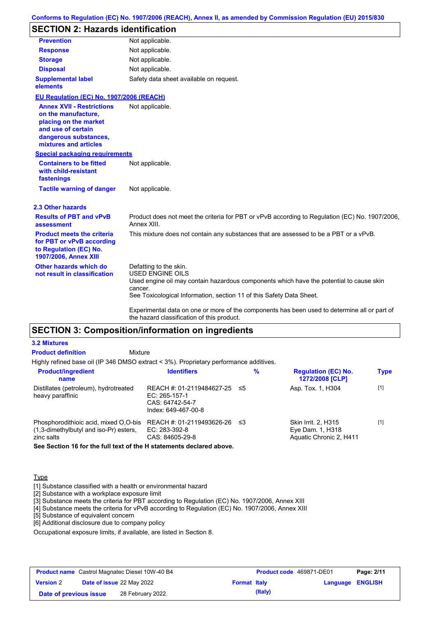### **Conforms to Regulation (EC) No. 1907/2006 (REACH), Annex II, as amended by Commission Regulation (EU) 2015/830**

## **SECTION 2: Hazards identification**

| <b>Prevention</b>                                                                                                                                        | Not applicable.                                                                                                                                                                                                                                                                                                                 |
|----------------------------------------------------------------------------------------------------------------------------------------------------------|---------------------------------------------------------------------------------------------------------------------------------------------------------------------------------------------------------------------------------------------------------------------------------------------------------------------------------|
| <b>Response</b>                                                                                                                                          | Not applicable.                                                                                                                                                                                                                                                                                                                 |
| <b>Storage</b>                                                                                                                                           | Not applicable.                                                                                                                                                                                                                                                                                                                 |
| <b>Disposal</b>                                                                                                                                          | Not applicable.                                                                                                                                                                                                                                                                                                                 |
| <b>Supplemental label</b><br>elements                                                                                                                    | Safety data sheet available on request.                                                                                                                                                                                                                                                                                         |
| EU Regulation (EC) No. 1907/2006 (REACH)                                                                                                                 |                                                                                                                                                                                                                                                                                                                                 |
| <b>Annex XVII - Restrictions</b><br>on the manufacture,<br>placing on the market<br>and use of certain<br>dangerous substances,<br>mixtures and articles | Not applicable.                                                                                                                                                                                                                                                                                                                 |
| <b>Special packaging requirements</b>                                                                                                                    |                                                                                                                                                                                                                                                                                                                                 |
| <b>Containers to be fitted</b><br>with child-resistant<br>fastenings                                                                                     | Not applicable.                                                                                                                                                                                                                                                                                                                 |
| <b>Tactile warning of danger</b>                                                                                                                         | Not applicable.                                                                                                                                                                                                                                                                                                                 |
| 2.3 Other hazards                                                                                                                                        |                                                                                                                                                                                                                                                                                                                                 |
| <b>Results of PBT and vPvB</b><br>assessment                                                                                                             | Product does not meet the criteria for PBT or vPvB according to Regulation (EC) No. 1907/2006,<br>Annex XIII.                                                                                                                                                                                                                   |
| <b>Product meets the criteria</b><br>for PBT or vPvB according<br>to Regulation (EC) No.<br>1907/2006, Annex XIII                                        | This mixture does not contain any substances that are assessed to be a PBT or a vPvB.                                                                                                                                                                                                                                           |
| Other hazards which do<br>not result in classification                                                                                                   | Defatting to the skin.<br><b>USED ENGINE OILS</b><br>Used engine oil may contain hazardous components which have the potential to cause skin<br>cancer.<br>See Toxicological Information, section 11 of this Safety Data Sheet.<br>Experimental data on one or more of the components has been used to determine all or part of |

### **SECTION 3: Composition/information on ingredients**

#### **3.2 Mixtures**

| <b>Product definition</b>                                                                        | Mixture                                                                              |     |   |                                                                    |             |
|--------------------------------------------------------------------------------------------------|--------------------------------------------------------------------------------------|-----|---|--------------------------------------------------------------------|-------------|
| Highly refined base oil (IP 346 DMSO extract < 3%). Proprietary performance additives.           |                                                                                      |     |   |                                                                    |             |
| <b>Product/ingredient</b><br>name                                                                | <b>Identifiers</b>                                                                   |     | % | <b>Regulation (EC) No.</b><br>1272/2008 [CLP]                      | <b>Type</b> |
| Distillates (petroleum), hydrotreated<br>heavy paraffinic                                        | REACH #: 01-2119484627-25<br>EC: 265-157-1<br>CAS: 64742-54-7<br>Index: 649-467-00-8 | -≤5 |   | Asp. Tox. 1, H304                                                  | $[1]$       |
| Phosphorodithioic acid, mixed O,O-bis<br>$(1,3$ -dimethylbutyl and iso-Pr) esters,<br>zinc salts | REACH #: 01-2119493626-26<br>EC: 283-392-8<br>CAS: 84605-29-8                        | -≤3 |   | Skin Irrit. 2, H315<br>Eye Dam. 1, H318<br>Aquatic Chronic 2, H411 | $[1]$       |
| Den Denting 40 familien full teut of the 11 statements dealered about                            |                                                                                      |     |   |                                                                    |             |

**See Section 16 for the full text of the H statements declared above.**

### **Type**

[1] Substance classified with a health or environmental hazard

[2] Substance with a workplace exposure limit

[3] Substance meets the criteria for PBT according to Regulation (EC) No. 1907/2006, Annex XIII

[4] Substance meets the criteria for vPvB according to Regulation (EC) No. 1907/2006, Annex XIII

[5] Substance of equivalent concern

[6] Additional disclosure due to company policy

Occupational exposure limits, if available, are listed in Section 8.

| <b>Product name</b> Castrol Magnatec Diesel 10W-40 B4 |  |                                  |                     | <b>Product code</b> 469871-DE01 |                  | Page: 2/11 |
|-------------------------------------------------------|--|----------------------------------|---------------------|---------------------------------|------------------|------------|
| <b>Version 2</b>                                      |  | <b>Date of issue 22 May 2022</b> | <b>Format Italy</b> |                                 | Language ENGLISH |            |
| Date of previous issue                                |  | 28 February 2022.                |                     | (Italy)                         |                  |            |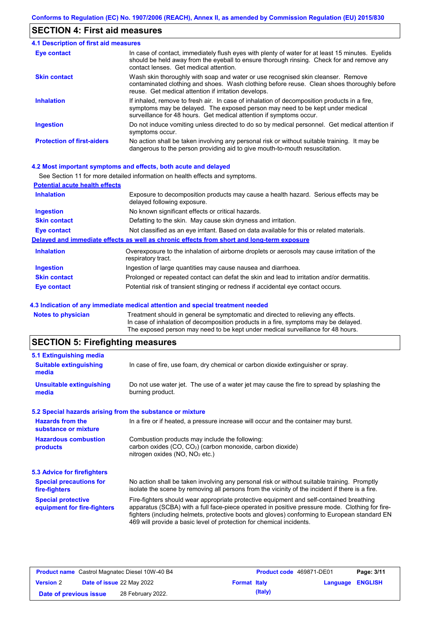## **SECTION 4: First aid measures**

| <b>4.1 Description of first aid measures</b> |                                                                                                                                                                                                                                                     |
|----------------------------------------------|-----------------------------------------------------------------------------------------------------------------------------------------------------------------------------------------------------------------------------------------------------|
| Eye contact                                  | In case of contact, immediately flush eyes with plenty of water for at least 15 minutes. Eyelids<br>should be held away from the eyeball to ensure thorough rinsing. Check for and remove any<br>contact lenses. Get medical attention.             |
| <b>Skin contact</b>                          | Wash skin thoroughly with soap and water or use recognised skin cleanser. Remove<br>contaminated clothing and shoes. Wash clothing before reuse. Clean shoes thoroughly before<br>reuse. Get medical attention if irritation develops.              |
| <b>Inhalation</b>                            | If inhaled, remove to fresh air. In case of inhalation of decomposition products in a fire,<br>symptoms may be delayed. The exposed person may need to be kept under medical<br>surveillance for 48 hours. Get medical attention if symptoms occur. |
| <b>Ingestion</b>                             | Do not induce vomiting unless directed to do so by medical personnel. Get medical attention if<br>symptoms occur.                                                                                                                                   |
| <b>Protection of first-aiders</b>            | No action shall be taken involving any personal risk or without suitable training. It may be<br>dangerous to the person providing aid to give mouth-to-mouth resuscitation.                                                                         |

### **4.2 Most important symptoms and effects, both acute and delayed**

|                                       | See Section 11 for more detailed information on health effects and symptoms.                                        |
|---------------------------------------|---------------------------------------------------------------------------------------------------------------------|
| <b>Potential acute health effects</b> |                                                                                                                     |
| <b>Inhalation</b>                     | Exposure to decomposition products may cause a health hazard. Serious effects may be<br>delayed following exposure. |
| <b>Ingestion</b>                      | No known significant effects or critical hazards.                                                                   |
| <b>Skin contact</b>                   | Defatting to the skin. May cause skin dryness and irritation.                                                       |
| <b>Eye contact</b>                    | Not classified as an eye irritant. Based on data available for this or related materials.                           |
|                                       | Delayed and immediate effects as well as chronic effects from short and long-term exposure                          |
| <b>Inhalation</b>                     | Overexposure to the inhalation of airborne droplets or aerosols may cause irritation of the<br>respiratory tract.   |
| <b>Ingestion</b>                      | Ingestion of large quantities may cause nausea and diarrhoea.                                                       |
| <b>Skin contact</b>                   | Prolonged or repeated contact can defat the skin and lead to irritation and/or dermatitis.                          |
| <b>Eye contact</b>                    | Potential risk of transient stinging or redness if accidental eye contact occurs.                                   |

### **4.3 Indication of any immediate medical attention and special treatment needed**

| Notes to physician | Treatment should in general be symptomatic and directed to relieving any effects.   |
|--------------------|-------------------------------------------------------------------------------------|
|                    | In case of inhalation of decomposition products in a fire, symptoms may be delayed. |
|                    | The exposed person may need to be kept under medical surveillance for 48 hours.     |
|                    |                                                                                     |

## **SECTION 5: Firefighting measures**

| In case of fire, use foam, dry chemical or carbon dioxide extinguisher or spray.                                                                                                                                                                                                                                                                                  |
|-------------------------------------------------------------------------------------------------------------------------------------------------------------------------------------------------------------------------------------------------------------------------------------------------------------------------------------------------------------------|
| Do not use water jet. The use of a water jet may cause the fire to spread by splashing the<br>burning product.                                                                                                                                                                                                                                                    |
| 5.2 Special hazards arising from the substance or mixture                                                                                                                                                                                                                                                                                                         |
| In a fire or if heated, a pressure increase will occur and the container may burst.                                                                                                                                                                                                                                                                               |
| Combustion products may include the following:<br>carbon oxides $(CO, CO2)$ (carbon monoxide, carbon dioxide)<br>nitrogen oxides (NO, NO <sub>2</sub> etc.)                                                                                                                                                                                                       |
|                                                                                                                                                                                                                                                                                                                                                                   |
| No action shall be taken involving any personal risk or without suitable training. Promptly<br>isolate the scene by removing all persons from the vicinity of the incident if there is a fire.                                                                                                                                                                    |
| Fire-fighters should wear appropriate protective equipment and self-contained breathing<br>apparatus (SCBA) with a full face-piece operated in positive pressure mode. Clothing for fire-<br>fighters (including helmets, protective boots and gloves) conforming to European standard EN<br>469 will provide a basic level of protection for chemical incidents. |
|                                                                                                                                                                                                                                                                                                                                                                   |

|                        | <b>Product name</b> Castrol Magnatec Diesel 10W-40 B4 |                     | <b>Product code</b> 469871-DE01 |                         | Page: 3/11 |
|------------------------|-------------------------------------------------------|---------------------|---------------------------------|-------------------------|------------|
| <b>Version 2</b>       | <b>Date of issue 22 May 2022</b>                      | <b>Format Italy</b> |                                 | <b>Language ENGLISH</b> |            |
| Date of previous issue | 28 February 2022.                                     |                     | (Italy)                         |                         |            |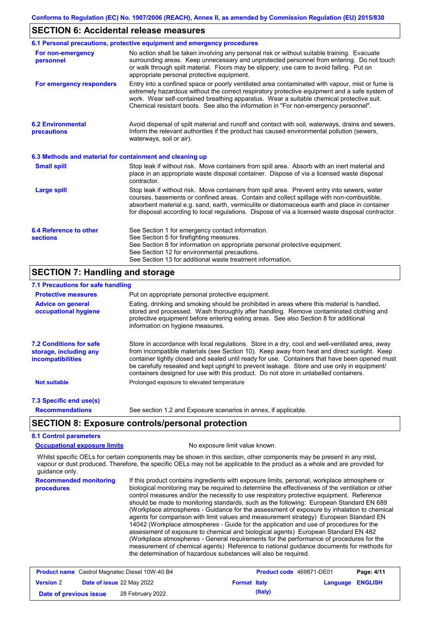### **SECTION 6: Accidental release measures**

|                                                          | 6.1 Personal precautions, protective equipment and emergency procedures                                                                                                                                                                                                                                                                                                                        |
|----------------------------------------------------------|------------------------------------------------------------------------------------------------------------------------------------------------------------------------------------------------------------------------------------------------------------------------------------------------------------------------------------------------------------------------------------------------|
| For non-emergency<br>personnel                           | No action shall be taken involving any personal risk or without suitable training. Evacuate<br>surrounding areas. Keep unnecessary and unprotected personnel from entering. Do not touch<br>or walk through spilt material. Floors may be slippery; use care to avoid falling. Put on<br>appropriate personal protective equipment.                                                            |
| For emergency responders                                 | Entry into a confined space or poorly ventilated area contaminated with vapour, mist or fume is<br>extremely hazardous without the correct respiratory protective equipment and a safe system of<br>work. Wear self-contained breathing apparatus. Wear a suitable chemical protective suit.<br>Chemical resistant boots. See also the information in "For non-emergency personnel".           |
| <b>6.2 Environmental</b><br>precautions                  | Avoid dispersal of spilt material and runoff and contact with soil, waterways, drains and sewers.<br>Inform the relevant authorities if the product has caused environmental pollution (sewers,<br>waterways, soil or air).                                                                                                                                                                    |
| 6.3 Methods and material for containment and cleaning up |                                                                                                                                                                                                                                                                                                                                                                                                |
| <b>Small spill</b>                                       | Stop leak if without risk. Move containers from spill area. Absorb with an inert material and<br>place in an appropriate waste disposal container. Dispose of via a licensed waste disposal<br>contractor.                                                                                                                                                                                     |
| <b>Large spill</b>                                       | Stop leak if without risk. Move containers from spill area. Prevent entry into sewers, water<br>courses, basements or confined areas. Contain and collect spillage with non-combustible,<br>absorbent material e.g. sand, earth, vermiculite or diatomaceous earth and place in container<br>for disposal according to local regulations. Dispose of via a licensed waste disposal contractor. |
| 6.4 Reference to other<br><b>sections</b>                | See Section 1 for emergency contact information.<br>See Section 5 for firefighting measures.                                                                                                                                                                                                                                                                                                   |
|                                                          | See Section 8 for information on appropriate personal protective equipment.                                                                                                                                                                                                                                                                                                                    |
|                                                          | See Section 12 for environmental precautions.                                                                                                                                                                                                                                                                                                                                                  |

### **SECTION 7: Handling and storage**

### **7.1 Precautions for safe handling**

| <b>Protective measures</b>                                                           | Put on appropriate personal protective equipment.                                                                                                                                                                                                                                                                                                                                                                                                                                        |
|--------------------------------------------------------------------------------------|------------------------------------------------------------------------------------------------------------------------------------------------------------------------------------------------------------------------------------------------------------------------------------------------------------------------------------------------------------------------------------------------------------------------------------------------------------------------------------------|
| <b>Advice on general</b><br>occupational hygiene                                     | Eating, drinking and smoking should be prohibited in areas where this material is handled,<br>stored and processed. Wash thoroughly after handling. Remove contaminated clothing and<br>protective equipment before entering eating areas. See also Section 8 for additional<br>information on hygiene measures.                                                                                                                                                                         |
| <b>7.2 Conditions for safe</b><br>storage, including any<br><i>incompatibilities</i> | Store in accordance with local requlations. Store in a dry, cool and well-ventilated area, away<br>from incompatible materials (see Section 10). Keep away from heat and direct sunlight. Keep<br>container tightly closed and sealed until ready for use. Containers that have been opened must<br>be carefully resealed and kept upright to prevent leakage. Store and use only in equipment/<br>containers designed for use with this product. Do not store in unlabelled containers. |
| <b>Not suitable</b>                                                                  | Prolonged exposure to elevated temperature                                                                                                                                                                                                                                                                                                                                                                                                                                               |
| 7.3 Specific end use(s)                                                              |                                                                                                                                                                                                                                                                                                                                                                                                                                                                                          |
| <b>Recommendations</b>                                                               | See section 1.2 and Exposure scenarios in annex, if applicable.                                                                                                                                                                                                                                                                                                                                                                                                                          |

## **SECTION 8: Exposure controls/personal protection**

## **8.1 Control parameters**

**Occupational exposure limits** No exposure limit value known.

Whilst specific OELs for certain components may be shown in this section, other components may be present in any mist, vapour or dust produced. Therefore, the specific OELs may not be applicable to the product as a whole and are provided for guidance only.

**Recommended monitoring procedures** If this product contains ingredients with exposure limits, personal, workplace atmosphere or biological monitoring may be required to determine the effectiveness of the ventilation or other control measures and/or the necessity to use respiratory protective equipment. Reference should be made to monitoring standards, such as the following: European Standard EN 689 (Workplace atmospheres - Guidance for the assessment of exposure by inhalation to chemical agents for comparison with limit values and measurement strategy) European Standard EN 14042 (Workplace atmospheres - Guide for the application and use of procedures for the assessment of exposure to chemical and biological agents) European Standard EN 482 (Workplace atmospheres - General requirements for the performance of procedures for the measurement of chemical agents) Reference to national guidance documents for methods for the determination of hazardous substances will also be required.

| <b>Product name</b> Castrol Magnatec Diesel 10W-40 B4 |                                  |                   | <b>Product code</b> 469871-DE01 | Page: 4/11 |  |                         |
|-------------------------------------------------------|----------------------------------|-------------------|---------------------------------|------------|--|-------------------------|
| <b>Version 2</b>                                      | <b>Date of issue 22 May 2022</b> |                   | <b>Format Italy</b>             |            |  | <b>Language ENGLISH</b> |
| Date of previous issue                                |                                  | 28 February 2022. |                                 | (Italy)    |  |                         |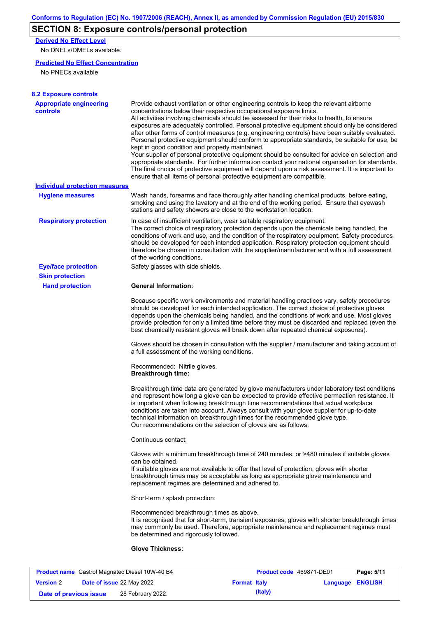## **SECTION 8: Exposure controls/personal protection**

**Derived No Effect Level**

No DNELs/DMELs available.

### **Predicted No Effect Concentration**

No PNECs available

| <b>Appropriate engineering</b>        | Provide exhaust ventilation or other engineering controls to keep the relevant airborne                                                                                                                                                                                                                                                                                                                                                                                                                                                                                                                                                                                                                                                                                                                                                                                                                      |
|---------------------------------------|--------------------------------------------------------------------------------------------------------------------------------------------------------------------------------------------------------------------------------------------------------------------------------------------------------------------------------------------------------------------------------------------------------------------------------------------------------------------------------------------------------------------------------------------------------------------------------------------------------------------------------------------------------------------------------------------------------------------------------------------------------------------------------------------------------------------------------------------------------------------------------------------------------------|
| controls                              | concentrations below their respective occupational exposure limits.<br>All activities involving chemicals should be assessed for their risks to health, to ensure<br>exposures are adequately controlled. Personal protective equipment should only be considered<br>after other forms of control measures (e.g. engineering controls) have been suitably evaluated.<br>Personal protective equipment should conform to appropriate standards, be suitable for use, be<br>kept in good condition and properly maintained.<br>Your supplier of personal protective equipment should be consulted for advice on selection and<br>appropriate standards. For further information contact your national organisation for standards.<br>The final choice of protective equipment will depend upon a risk assessment. It is important to<br>ensure that all items of personal protective equipment are compatible. |
| <b>Individual protection measures</b> |                                                                                                                                                                                                                                                                                                                                                                                                                                                                                                                                                                                                                                                                                                                                                                                                                                                                                                              |
| <b>Hygiene measures</b>               | Wash hands, forearms and face thoroughly after handling chemical products, before eating,<br>smoking and using the lavatory and at the end of the working period. Ensure that eyewash<br>stations and safety showers are close to the workstation location.                                                                                                                                                                                                                                                                                                                                                                                                                                                                                                                                                                                                                                                  |
| <b>Respiratory protection</b>         | In case of insufficient ventilation, wear suitable respiratory equipment.<br>The correct choice of respiratory protection depends upon the chemicals being handled, the<br>conditions of work and use, and the condition of the respiratory equipment. Safety procedures<br>should be developed for each intended application. Respiratory protection equipment should<br>therefore be chosen in consultation with the supplier/manufacturer and with a full assessment<br>of the working conditions.                                                                                                                                                                                                                                                                                                                                                                                                        |
| <b>Eye/face protection</b>            | Safety glasses with side shields.                                                                                                                                                                                                                                                                                                                                                                                                                                                                                                                                                                                                                                                                                                                                                                                                                                                                            |
| <b>Skin protection</b>                |                                                                                                                                                                                                                                                                                                                                                                                                                                                                                                                                                                                                                                                                                                                                                                                                                                                                                                              |
| <b>Hand protection</b>                | <b>General Information:</b>                                                                                                                                                                                                                                                                                                                                                                                                                                                                                                                                                                                                                                                                                                                                                                                                                                                                                  |
|                                       | Because specific work environments and material handling practices vary, safety procedures<br>should be developed for each intended application. The correct choice of protective gloves<br>depends upon the chemicals being handled, and the conditions of work and use. Most gloves<br>provide protection for only a limited time before they must be discarded and replaced (even the<br>best chemically resistant gloves will break down after repeated chemical exposures).                                                                                                                                                                                                                                                                                                                                                                                                                             |
|                                       | Gloves should be chosen in consultation with the supplier / manufacturer and taking account of<br>a full assessment of the working conditions.                                                                                                                                                                                                                                                                                                                                                                                                                                                                                                                                                                                                                                                                                                                                                               |
|                                       | Recommended: Nitrile gloves.<br><b>Breakthrough time:</b>                                                                                                                                                                                                                                                                                                                                                                                                                                                                                                                                                                                                                                                                                                                                                                                                                                                    |
|                                       | Breakthrough time data are generated by glove manufacturers under laboratory test conditions<br>and represent how long a glove can be expected to provide effective permeation resistance. It<br>is important when following breakthrough time recommendations that actual workplace<br>conditions are taken into account. Always consult with your glove supplier for up-to-date<br>technical information on breakthrough times for the recommended glove type.<br>Our recommendations on the selection of gloves are as follows:                                                                                                                                                                                                                                                                                                                                                                           |
|                                       | Continuous contact:                                                                                                                                                                                                                                                                                                                                                                                                                                                                                                                                                                                                                                                                                                                                                                                                                                                                                          |
|                                       | Gloves with a minimum breakthrough time of 240 minutes, or >480 minutes if suitable gloves<br>can be obtained.<br>If suitable gloves are not available to offer that level of protection, gloves with shorter<br>breakthrough times may be acceptable as long as appropriate glove maintenance and<br>replacement regimes are determined and adhered to.                                                                                                                                                                                                                                                                                                                                                                                                                                                                                                                                                     |
|                                       | Short-term / splash protection:                                                                                                                                                                                                                                                                                                                                                                                                                                                                                                                                                                                                                                                                                                                                                                                                                                                                              |
|                                       | Recommended breakthrough times as above.<br>It is recognised that for short-term, transient exposures, gloves with shorter breakthrough times<br>may commonly be used. Therefore, appropriate maintenance and replacement regimes must<br>be determined and rigorously followed.                                                                                                                                                                                                                                                                                                                                                                                                                                                                                                                                                                                                                             |
|                                       | <b>Glove Thickness:</b>                                                                                                                                                                                                                                                                                                                                                                                                                                                                                                                                                                                                                                                                                                                                                                                                                                                                                      |

| <b>Product name</b> Castrol Magnatec Diesel 10W-40 B4 |  |                                  |                     | <b>Product code</b> 469871-DE01 | Page: 5/11              |  |
|-------------------------------------------------------|--|----------------------------------|---------------------|---------------------------------|-------------------------|--|
| <b>Version 2</b>                                      |  | <b>Date of issue 22 May 2022</b> | <b>Format Italy</b> |                                 | <b>Language ENGLISH</b> |  |
| Date of previous issue                                |  | 28 February 2022.                |                     | (Italy)                         |                         |  |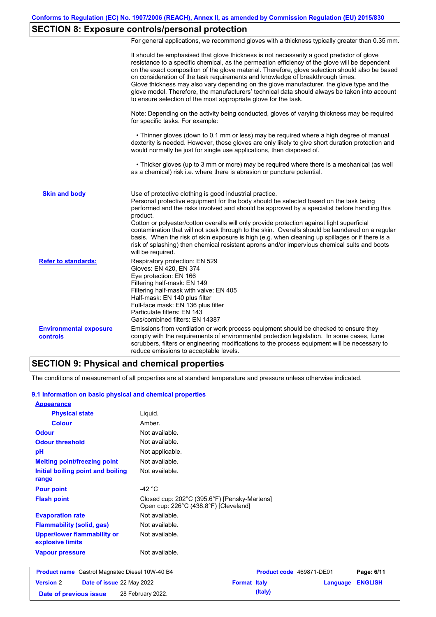## **SECTION 8: Exposure controls/personal protection**

For general applications, we recommend gloves with a thickness typically greater than 0.35 mm.

|                                                  | It should be emphasised that glove thickness is not necessarily a good predictor of glove<br>resistance to a specific chemical, as the permeation efficiency of the glove will be dependent<br>on the exact composition of the glove material. Therefore, glove selection should also be based<br>on consideration of the task requirements and knowledge of breakthrough times.<br>Glove thickness may also vary depending on the glove manufacturer, the glove type and the<br>glove model. Therefore, the manufacturers' technical data should always be taken into account<br>to ensure selection of the most appropriate glove for the task.                                     |
|--------------------------------------------------|---------------------------------------------------------------------------------------------------------------------------------------------------------------------------------------------------------------------------------------------------------------------------------------------------------------------------------------------------------------------------------------------------------------------------------------------------------------------------------------------------------------------------------------------------------------------------------------------------------------------------------------------------------------------------------------|
|                                                  | Note: Depending on the activity being conducted, gloves of varying thickness may be required<br>for specific tasks. For example:                                                                                                                                                                                                                                                                                                                                                                                                                                                                                                                                                      |
|                                                  | • Thinner gloves (down to 0.1 mm or less) may be required where a high degree of manual<br>dexterity is needed. However, these gloves are only likely to give short duration protection and<br>would normally be just for single use applications, then disposed of.                                                                                                                                                                                                                                                                                                                                                                                                                  |
|                                                  | • Thicker gloves (up to 3 mm or more) may be required where there is a mechanical (as well<br>as a chemical) risk i.e. where there is abrasion or puncture potential.                                                                                                                                                                                                                                                                                                                                                                                                                                                                                                                 |
| <b>Skin and body</b>                             | Use of protective clothing is good industrial practice.<br>Personal protective equipment for the body should be selected based on the task being<br>performed and the risks involved and should be approved by a specialist before handling this<br>product.<br>Cotton or polyester/cotton overalls will only provide protection against light superficial<br>contamination that will not soak through to the skin. Overalls should be laundered on a regular<br>basis. When the risk of skin exposure is high (e.g. when cleaning up spillages or if there is a<br>risk of splashing) then chemical resistant aprons and/or impervious chemical suits and boots<br>will be required. |
| <b>Refer to standards:</b>                       | Respiratory protection: EN 529<br>Gloves: EN 420, EN 374<br>Eye protection: EN 166<br>Filtering half-mask: EN 149<br>Filtering half-mask with valve: EN 405<br>Half-mask: EN 140 plus filter<br>Full-face mask: EN 136 plus filter<br>Particulate filters: EN 143<br>Gas/combined filters: EN 14387                                                                                                                                                                                                                                                                                                                                                                                   |
| <b>Environmental exposure</b><br><b>controls</b> | Emissions from ventilation or work process equipment should be checked to ensure they<br>comply with the requirements of environmental protection legislation. In some cases, fume<br>scrubbers, filters or engineering modifications to the process equipment will be necessary to<br>reduce emissions to acceptable levels.                                                                                                                                                                                                                                                                                                                                                         |

### **SECTION 9: Physical and chemical properties**

**Date of previous issue 28 February 2022. (Italy) (Italy)** 

The conditions of measurement of all properties are at standard temperature and pressure unless otherwise indicated.

#### **9.1 Information on basic physical and chemical properties**

| <b>Appearance</b>                                      |                                                                                       |                     |                          |                 |                |
|--------------------------------------------------------|---------------------------------------------------------------------------------------|---------------------|--------------------------|-----------------|----------------|
| <b>Physical state</b>                                  | Liquid.                                                                               |                     |                          |                 |                |
| <b>Colour</b>                                          | Amber.                                                                                |                     |                          |                 |                |
| <b>Odour</b>                                           | Not available.                                                                        |                     |                          |                 |                |
| <b>Odour threshold</b>                                 | Not available.                                                                        |                     |                          |                 |                |
| pH                                                     | Not applicable.                                                                       |                     |                          |                 |                |
| <b>Melting point/freezing point</b>                    | Not available.                                                                        |                     |                          |                 |                |
| Initial boiling point and boiling<br>range             | Not available.                                                                        |                     |                          |                 |                |
| <b>Pour point</b>                                      | -42 $^{\circ}$ C                                                                      |                     |                          |                 |                |
| <b>Flash point</b>                                     | Closed cup: 202°C (395.6°F) [Pensky-Martens]<br>Open cup: 226°C (438.8°F) [Cleveland] |                     |                          |                 |                |
| <b>Evaporation rate</b>                                | Not available.                                                                        |                     |                          |                 |                |
| <b>Flammability (solid, gas)</b>                       | Not available.                                                                        |                     |                          |                 |                |
| <b>Upper/lower flammability or</b><br>explosive limits | Not available.                                                                        |                     |                          |                 |                |
| <b>Vapour pressure</b>                                 | Not available.                                                                        |                     |                          |                 |                |
| <b>Product name</b> Castrol Magnatec Diesel 10W-40 B4  |                                                                                       |                     | Product code 469871-DE01 |                 | Page: 6/11     |
| <b>Version 2</b><br>Date of issue 22 May 2022          |                                                                                       | <b>Format Italy</b> |                          | <b>Language</b> | <b>ENGLISH</b> |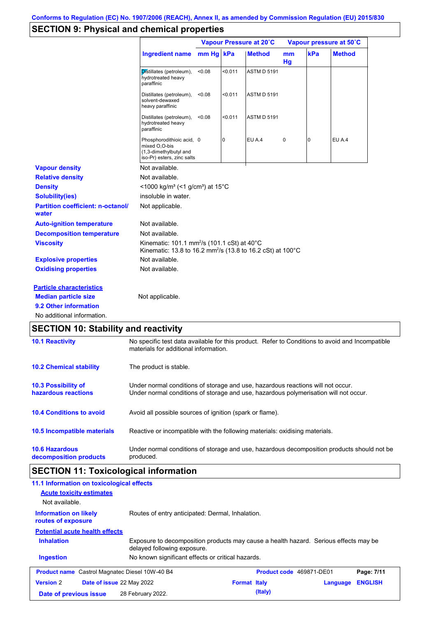## **SECTION 9: Physical and chemical properties**

|                                                     |                                                                                                                                              | Vapour Pressure at 20°C |         |                    | Vapour pressure at 50°C |                |               |
|-----------------------------------------------------|----------------------------------------------------------------------------------------------------------------------------------------------|-------------------------|---------|--------------------|-------------------------|----------------|---------------|
|                                                     | <b>Ingredient name</b>                                                                                                                       | mm Hg kPa               |         | <b>Method</b>      | mm<br>Hg                | kPa            | <b>Method</b> |
|                                                     | Distillates (petroleum),<br>hydrotreated heavy<br>paraffinic                                                                                 | < 0.08                  | < 0.011 | <b>ASTM D 5191</b> |                         |                |               |
|                                                     | Distillates (petroleum),<br>solvent-dewaxed<br>heavy paraffinic                                                                              | < 0.08                  | < 0.011 | <b>ASTM D 5191</b> |                         |                |               |
|                                                     | Distillates (petroleum),<br>hydrotreated heavy<br>paraffinic                                                                                 | < 0.08                  | < 0.011 | <b>ASTM D 5191</b> |                         |                |               |
|                                                     | Phosphorodithioic acid, 0<br>mixed O,O-bis<br>(1,3-dimethylbutyl and<br>iso-Pr) esters, zinc salts                                           |                         | 0       | <b>EU A.4</b>      | 0                       | $\overline{0}$ | EU A.4        |
| <b>Vapour density</b>                               | Not available.                                                                                                                               |                         |         |                    |                         |                |               |
| <b>Relative density</b>                             | Not available.                                                                                                                               |                         |         |                    |                         |                |               |
| <b>Density</b>                                      | <1000 kg/m <sup>3</sup> (<1 g/cm <sup>3</sup> ) at 15 <sup>°</sup> C                                                                         |                         |         |                    |                         |                |               |
| <b>Solubility(ies)</b>                              | insoluble in water.                                                                                                                          |                         |         |                    |                         |                |               |
| <b>Partition coefficient: n-octanol/</b><br>water   | Not applicable.                                                                                                                              |                         |         |                    |                         |                |               |
| <b>Auto-ignition temperature</b>                    | Not available.                                                                                                                               |                         |         |                    |                         |                |               |
| <b>Decomposition temperature</b>                    | Not available.                                                                                                                               |                         |         |                    |                         |                |               |
| <b>Viscosity</b>                                    | Kinematic: 101.1 mm <sup>2</sup> /s (101.1 cSt) at 40 $^{\circ}$ C<br>Kinematic: 13.8 to 16.2 mm <sup>2</sup> /s (13.8 to 16.2 cSt) at 100°C |                         |         |                    |                         |                |               |
| <b>Explosive properties</b>                         | Not available.                                                                                                                               |                         |         |                    |                         |                |               |
| <b>Oxidising properties</b>                         | Not available.                                                                                                                               |                         |         |                    |                         |                |               |
| <b>Particle characteristics</b>                     |                                                                                                                                              |                         |         |                    |                         |                |               |
|                                                     | Not applicable.                                                                                                                              |                         |         |                    |                         |                |               |
| <b>Median particle size</b>                         |                                                                                                                                              |                         |         |                    |                         |                |               |
| 9.2 Other information<br>No additional information. |                                                                                                                                              |                         |         |                    |                         |                |               |

| <b>10.1 Reactivity</b>                            | No specific test data available for this product. Refer to Conditions to avoid and Incompatible<br>materials for additional information.                                |
|---------------------------------------------------|-------------------------------------------------------------------------------------------------------------------------------------------------------------------------|
| <b>10.2 Chemical stability</b>                    | The product is stable.                                                                                                                                                  |
| <b>10.3 Possibility of</b><br>hazardous reactions | Under normal conditions of storage and use, hazardous reactions will not occur.<br>Under normal conditions of storage and use, hazardous polymerisation will not occur. |
| <b>10.4 Conditions to avoid</b>                   | Avoid all possible sources of ignition (spark or flame).                                                                                                                |
| 10.5 Incompatible materials                       | Reactive or incompatible with the following materials: oxidising materials.                                                                                             |
| <b>10.6 Hazardous</b><br>decomposition products   | Under normal conditions of storage and use, hazardous decomposition products should not be<br>produced.                                                                 |

# **SECTION 11: Toxicological information**

| 11.1 Information on toxicological effects<br><b>Acute toxicity estimates</b><br>Not available.                                           |                                                   |                     |                          |          |                |
|------------------------------------------------------------------------------------------------------------------------------------------|---------------------------------------------------|---------------------|--------------------------|----------|----------------|
| <b>Information on likely</b><br>routes of exposure                                                                                       | Routes of entry anticipated: Dermal, Inhalation.  |                     |                          |          |                |
| <b>Potential acute health effects</b>                                                                                                    |                                                   |                     |                          |          |                |
| <b>Inhalation</b><br>Exposure to decomposition products may cause a health hazard. Serious effects may be<br>delayed following exposure. |                                                   |                     |                          |          |                |
| <b>Ingestion</b>                                                                                                                         | No known significant effects or critical hazards. |                     |                          |          |                |
| <b>Product name</b> Castrol Magnatec Diesel 10W-40 B4                                                                                    |                                                   |                     | Product code 469871-DE01 |          | Page: 7/11     |
| <b>Version 2</b><br><b>Date of issue 22 May 2022</b>                                                                                     |                                                   | <b>Format Italy</b> |                          | Language | <b>ENGLISH</b> |
| Date of previous issue                                                                                                                   | 28 February 2022.                                 |                     | (Italy)                  |          |                |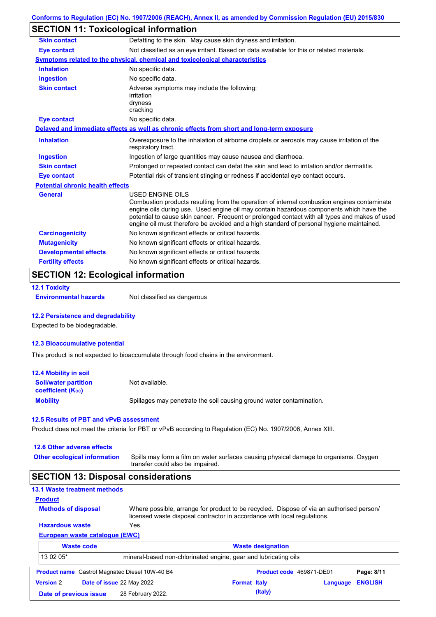## **SECTION 11: Toxicological information**

| <b>Skin contact</b>                     | Defatting to the skin. May cause skin dryness and irritation.                                                                                                                                                                                                                                                                                                                                                   |  |  |  |  |
|-----------------------------------------|-----------------------------------------------------------------------------------------------------------------------------------------------------------------------------------------------------------------------------------------------------------------------------------------------------------------------------------------------------------------------------------------------------------------|--|--|--|--|
| <b>Eye contact</b>                      | Not classified as an eye irritant. Based on data available for this or related materials.                                                                                                                                                                                                                                                                                                                       |  |  |  |  |
|                                         | Symptoms related to the physical, chemical and toxicological characteristics                                                                                                                                                                                                                                                                                                                                    |  |  |  |  |
| <b>Inhalation</b>                       | No specific data.                                                                                                                                                                                                                                                                                                                                                                                               |  |  |  |  |
| <b>Ingestion</b>                        | No specific data.                                                                                                                                                                                                                                                                                                                                                                                               |  |  |  |  |
| <b>Skin contact</b>                     | Adverse symptoms may include the following:<br>irritation<br>dryness<br>cracking                                                                                                                                                                                                                                                                                                                                |  |  |  |  |
| <b>Eye contact</b>                      | No specific data.                                                                                                                                                                                                                                                                                                                                                                                               |  |  |  |  |
|                                         | Delayed and immediate effects as well as chronic effects from short and long-term exposure                                                                                                                                                                                                                                                                                                                      |  |  |  |  |
| <b>Inhalation</b>                       | Overexposure to the inhalation of airborne droplets or aerosols may cause irritation of the<br>respiratory tract.                                                                                                                                                                                                                                                                                               |  |  |  |  |
| Ingestion                               | Ingestion of large quantities may cause nausea and diarrhoea.                                                                                                                                                                                                                                                                                                                                                   |  |  |  |  |
| <b>Skin contact</b>                     | Prolonged or repeated contact can defat the skin and lead to irritation and/or dermatitis.                                                                                                                                                                                                                                                                                                                      |  |  |  |  |
| <b>Eye contact</b>                      | Potential risk of transient stinging or redness if accidental eye contact occurs.                                                                                                                                                                                                                                                                                                                               |  |  |  |  |
| <b>Potential chronic health effects</b> |                                                                                                                                                                                                                                                                                                                                                                                                                 |  |  |  |  |
| <b>General</b>                          | <b>USED ENGINE OILS</b><br>Combustion products resulting from the operation of internal combustion engines contaminate<br>engine oils during use. Used engine oil may contain hazardous components which have the<br>potential to cause skin cancer. Frequent or prolonged contact with all types and makes of used<br>engine oil must therefore be avoided and a high standard of personal hygiene maintained. |  |  |  |  |
| <b>Carcinogenicity</b>                  | No known significant effects or critical hazards.                                                                                                                                                                                                                                                                                                                                                               |  |  |  |  |
| <b>Mutagenicity</b>                     | No known significant effects or critical hazards.                                                                                                                                                                                                                                                                                                                                                               |  |  |  |  |
| <b>Developmental effects</b>            | No known significant effects or critical hazards.                                                                                                                                                                                                                                                                                                                                                               |  |  |  |  |
| <b>Fertility effects</b>                | No known significant effects or critical hazards.                                                                                                                                                                                                                                                                                                                                                               |  |  |  |  |

## **SECTION 12: Ecological information**

```
12.1 Toxicity
```
**Environmental hazards** Not classified as dangerous

### **12.2 Persistence and degradability**

Expected to be biodegradable.

#### **12.3 Bioaccumulative potential**

This product is not expected to bioaccumulate through food chains in the environment.

| 12.4 Mobility in soil                                         |                                                                      |
|---------------------------------------------------------------|----------------------------------------------------------------------|
| <b>Soil/water partition</b><br>coefficient (K <sub>oc</sub> ) | Not available.                                                       |
| <b>Mobility</b>                                               | Spillages may penetrate the soil causing ground water contamination. |

#### **12.5 Results of PBT and vPvB assessment**

Product does not meet the criteria for PBT or vPvB according to Regulation (EC) No. 1907/2006, Annex XIII.

| 12.6 Other adverse effects                 |                                                                                                                                                                      |  |  |  |  |  |
|--------------------------------------------|----------------------------------------------------------------------------------------------------------------------------------------------------------------------|--|--|--|--|--|
| <b>Other ecological information</b>        | Spills may form a film on water surfaces causing physical damage to organisms. Oxygen<br>transfer could also be impaired.                                            |  |  |  |  |  |
| <b>SECTION 13: Disposal considerations</b> |                                                                                                                                                                      |  |  |  |  |  |
| <b>13.1 Waste treatment methods</b>        |                                                                                                                                                                      |  |  |  |  |  |
| <b>Product</b>                             |                                                                                                                                                                      |  |  |  |  |  |
| <b>Methods of disposal</b>                 | Where possible, arrange for product to be recycled. Dispose of via an authorised person/<br>licensed waste disposal contractor in accordance with local regulations. |  |  |  |  |  |

| <del>l</del> azardous waste      | Yes.                                                            |  |  |  |
|----------------------------------|-----------------------------------------------------------------|--|--|--|
| European waste cataloque (EWC) : |                                                                 |  |  |  |
| <b>Waste code</b>                | <b>Waste designation</b>                                        |  |  |  |
| 13 02 05*                        | mineral-based non-chlorinated engine, gear and lubricating oils |  |  |  |

| <b>Product name</b> Castrol Magnatec Diesel 10W-40 B4 |                                  | <b>Product code</b> 469871-DE01 | Page: 8/11              |
|-------------------------------------------------------|----------------------------------|---------------------------------|-------------------------|
| <b>Version 2</b>                                      | <b>Date of issue 22 May 2022</b> | <b>Format Italy</b>             | <b>Language ENGLISH</b> |
| Date of previous issue                                | 28 February 2022.                | (Italy)                         |                         |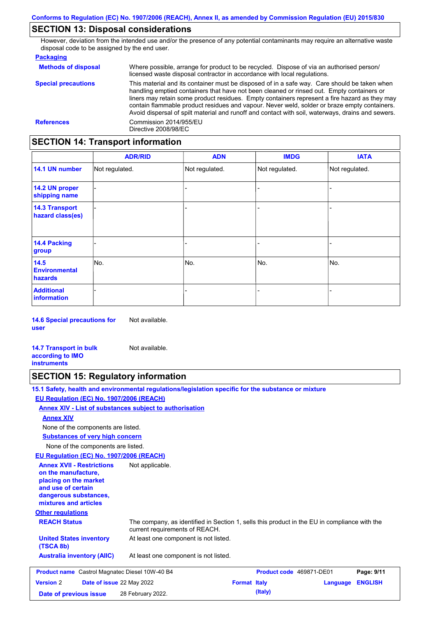### **SECTION 13: Disposal considerations**

However, deviation from the intended use and/or the presence of any potential contaminants may require an alternative waste disposal code to be assigned by the end user.

#### **Packaging**

| <b>Methods of disposal</b> | Where possible, arrange for product to be recycled. Dispose of via an authorised person/<br>licensed waste disposal contractor in accordance with local regulations.                                                                                                                                                                                                                                                                                                                            |
|----------------------------|-------------------------------------------------------------------------------------------------------------------------------------------------------------------------------------------------------------------------------------------------------------------------------------------------------------------------------------------------------------------------------------------------------------------------------------------------------------------------------------------------|
| <b>Special precautions</b> | This material and its container must be disposed of in a safe way. Care should be taken when<br>handling emptied containers that have not been cleaned or rinsed out. Empty containers or<br>liners may retain some product residues. Empty containers represent a fire hazard as they may<br>contain flammable product residues and vapour. Never weld, solder or braze empty containers.<br>Avoid dispersal of spilt material and runoff and contact with soil, waterways, drains and sewers. |
| <b>References</b>          | Commission 2014/955/EU<br>Directive 2008/98/EC                                                                                                                                                                                                                                                                                                                                                                                                                                                  |

## **SECTION 14: Transport information**

|                                           | <b>ADR/RID</b> | <b>ADN</b>     | <b>IMDG</b>    | <b>IATA</b>    |  |
|-------------------------------------------|----------------|----------------|----------------|----------------|--|
| 14.1 UN number                            | Not regulated. | Not regulated. | Not regulated. | Not regulated. |  |
| 14.2 UN proper<br>shipping name           |                |                | -              |                |  |
| <b>14.3 Transport</b><br>hazard class(es) |                |                | -              |                |  |
| 14.4 Packing<br>group                     |                |                | -              |                |  |
| 14.5<br><b>Environmental</b><br>hazards   | No.            | No.            | No.            | No.            |  |
| <b>Additional</b><br><b>information</b>   |                |                |                |                |  |

**14.6 Special precautions for user** Not available.

**14.7 Transport in bulk according to IMO instruments** Not available.

### **SECTION 15: Regulatory information**

**15.1 Safety, health and environmental regulations/legislation specific for the substance or mixture**

### **EU Regulation (EC) No. 1907/2006 (REACH)**

**Annex XIV - List of substances subject to authorisation**

#### **Annex XIV**

None of the components are listed.

**Substances of very high concern**

None of the components are listed.

### **EU Regulation (EC) No. 1907/2006 (REACH)**

**Other regulations REACH Status** The company, as identified in Section 1, sells this product in the EU in compliance with the current requirements of REACH. At least one component is not listed. **United States inventory** At least one component is not listed. **(TSCA 8b) Australia inventory (AIIC) Annex XVII - Restrictions on the manufacture, placing on the market and use of certain dangerous substances, mixtures and articles** Not applicable. **Product name** Castrol Magnatec Diesel 10W-40 B4 **Product Code 469871-DE01 Page: 9/11 Version** 2 **Date of issue** 22 May 2022 **Format Italy Language ENGLISH Date of previous issue** 28 February 2022.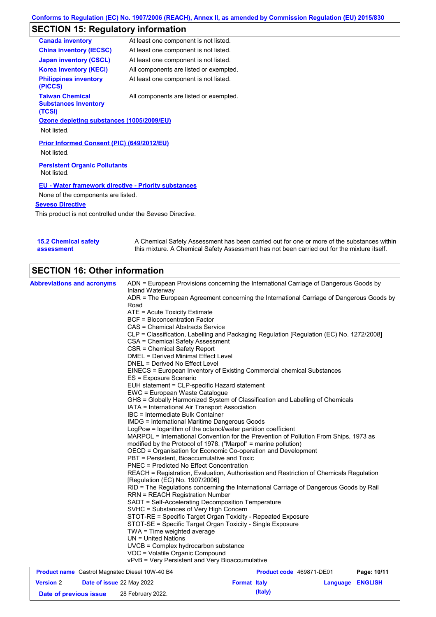# **SECTION 15: Regulatory information**

| <b>Canada inventory</b>                                         | At least one component is not listed.                       |
|-----------------------------------------------------------------|-------------------------------------------------------------|
| <b>China inventory (IECSC)</b>                                  | At least one component is not listed.                       |
| <b>Japan inventory (CSCL)</b>                                   | At least one component is not listed.                       |
| <b>Korea inventory (KECI)</b>                                   | All components are listed or exempted.                      |
| <b>Philippines inventory</b><br>(PICCS)                         | At least one component is not listed.                       |
| <b>Taiwan Chemical</b><br><b>Substances Inventory</b><br>(TCSI) | All components are listed or exempted.                      |
| Ozone depleting substances (1005/2009/EU)                       |                                                             |
| Not listed.                                                     |                                                             |
| Prior Informed Consent (PIC) (649/2012/EU)<br>Not listed.       |                                                             |
| <b>Persistent Organic Pollutants</b><br>Not listed.             |                                                             |
|                                                                 | <b>EU - Water framework directive - Priority substances</b> |
| None of the components are listed.                              |                                                             |
| <b>Seveso Directive</b>                                         |                                                             |
|                                                                 | This product is not controlled under the Seveso Directive.  |

| <b>15.2 Chemical safety</b> | A Chemical Safety Assessment has been carried out for one or more of the substances within  |
|-----------------------------|---------------------------------------------------------------------------------------------|
| assessment                  | this mixture. A Chemical Safety Assessment has not been carried out for the mixture itself. |

# **SECTION 16: Other information**

| <b>Abbreviations and acronyms</b>                     | ADN = European Provisions concerning the International Carriage of Dangerous Goods by                                      |                          |             |
|-------------------------------------------------------|----------------------------------------------------------------------------------------------------------------------------|--------------------------|-------------|
|                                                       | Inland Waterway                                                                                                            |                          |             |
|                                                       | ADR = The European Agreement concerning the International Carriage of Dangerous Goods by<br>Road                           |                          |             |
|                                                       | ATE = Acute Toxicity Estimate                                                                                              |                          |             |
|                                                       | <b>BCF</b> = Bioconcentration Factor                                                                                       |                          |             |
|                                                       | CAS = Chemical Abstracts Service                                                                                           |                          |             |
|                                                       | CLP = Classification, Labelling and Packaging Regulation [Regulation (EC) No. 1272/2008]                                   |                          |             |
|                                                       | CSA = Chemical Safety Assessment                                                                                           |                          |             |
|                                                       | CSR = Chemical Safety Report                                                                                               |                          |             |
|                                                       | <b>DMEL = Derived Minimal Effect Level</b>                                                                                 |                          |             |
|                                                       | DNEL = Derived No Effect Level                                                                                             |                          |             |
|                                                       | EINECS = European Inventory of Existing Commercial chemical Substances                                                     |                          |             |
|                                                       | ES = Exposure Scenario                                                                                                     |                          |             |
|                                                       | EUH statement = CLP-specific Hazard statement                                                                              |                          |             |
|                                                       | EWC = European Waste Catalogue                                                                                             |                          |             |
|                                                       | GHS = Globally Harmonized System of Classification and Labelling of Chemicals                                              |                          |             |
|                                                       | IATA = International Air Transport Association                                                                             |                          |             |
|                                                       | IBC = Intermediate Bulk Container                                                                                          |                          |             |
|                                                       | <b>IMDG</b> = International Maritime Dangerous Goods                                                                       |                          |             |
|                                                       | LogPow = logarithm of the octanol/water partition coefficient                                                              |                          |             |
|                                                       | MARPOL = International Convention for the Prevention of Pollution From Ships, 1973 as                                      |                          |             |
|                                                       | modified by the Protocol of 1978. ("Marpol" = marine pollution)                                                            |                          |             |
|                                                       | OECD = Organisation for Economic Co-operation and Development                                                              |                          |             |
|                                                       | PBT = Persistent, Bioaccumulative and Toxic                                                                                |                          |             |
|                                                       | <b>PNEC = Predicted No Effect Concentration</b>                                                                            |                          |             |
|                                                       | REACH = Registration, Evaluation, Authorisation and Restriction of Chemicals Regulation<br>[Regulation (EC) No. 1907/2006] |                          |             |
|                                                       | RID = The Regulations concerning the International Carriage of Dangerous Goods by Rail                                     |                          |             |
|                                                       | <b>RRN = REACH Registration Number</b>                                                                                     |                          |             |
|                                                       | SADT = Self-Accelerating Decomposition Temperature                                                                         |                          |             |
|                                                       | SVHC = Substances of Very High Concern                                                                                     |                          |             |
|                                                       | STOT-RE = Specific Target Organ Toxicity - Repeated Exposure                                                               |                          |             |
|                                                       | STOT-SE = Specific Target Organ Toxicity - Single Exposure                                                                 |                          |             |
|                                                       | $TWA = Time$ weighted average                                                                                              |                          |             |
|                                                       | $UN = United Nations$                                                                                                      |                          |             |
|                                                       | UVCB = Complex hydrocarbon substance                                                                                       |                          |             |
|                                                       | VOC = Volatile Organic Compound                                                                                            |                          |             |
|                                                       | vPvB = Very Persistent and Very Bioaccumulative                                                                            |                          |             |
| <b>Product name</b> Castrol Magnatec Diesel 10W-40 B4 |                                                                                                                            | Product code 469871-DE01 | Page: 10/11 |

|                        |  | <b>The age is the contract of magnatoc</b> Blood, form to Bill |                     |         |                         | . |
|------------------------|--|----------------------------------------------------------------|---------------------|---------|-------------------------|---|
| <b>Version 2</b>       |  | <b>Date of issue 22 May 2022</b>                               | <b>Format Italy</b> |         | <b>Language ENGLISH</b> |   |
| Date of previous issue |  | 28 February 2022.                                              |                     | (Italy) |                         |   |